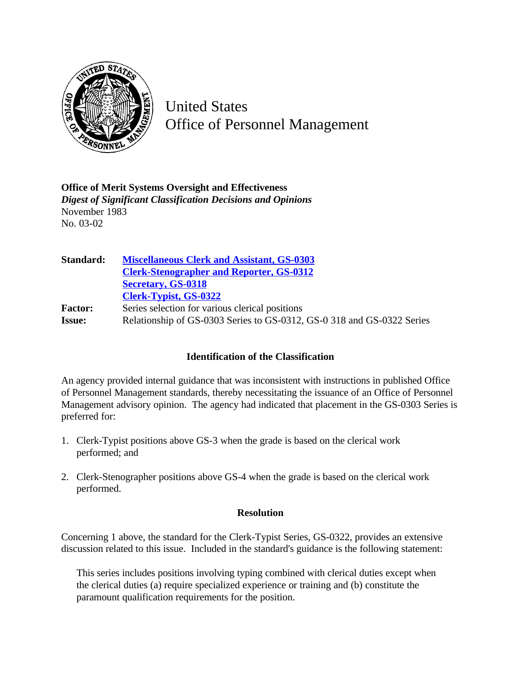

United States Office of Personnel Management

**Office of Merit Systems Oversight and Effectiveness** *Digest of Significant Classification Decisions and Opinions* November 1983 No. 03-02

**Standard: [Miscellaneous Clerk and Assistant, GS-0303](http://www.opm.gov/hr/fedclass/gs0303.pdf) [Clerk-Stenographer and Reporter, GS-0312](http://www.opm.gov/hr/fedclass/gs0312.pdf) [Secretary, GS-0318](http://www.opm.gov/hr/fedclass/gs0318.pdf) [Clerk-Typist, GS-0322](http://www.opm.gov/hr/fedclass/gs0322.pdf)** Factor: Series selection for various clerical positions **Issue:** Relationship of GS-0303 Series to GS-0312, GS-0 318 and GS-0322 Series

## **Identification of the Classification**

An agency provided internal guidance that was inconsistent with instructions in published Office of Personnel Management standards, thereby necessitating the issuance of an Office of Personnel Management advisory opinion. The agency had indicated that placement in the GS-0303 Series is preferred for:

- 1. Clerk-Typist positions above GS-3 when the grade is based on the clerical work performed; and
- 2. Clerk-Stenographer positions above GS-4 when the grade is based on the clerical work performed.

## **Resolution**

Concerning 1 above, the standard for the Clerk-Typist Series, GS-0322, provides an extensive discussion related to this issue. Included in the standard's guidance is the following statement:

This series includes positions involving typing combined with clerical duties except when the clerical duties (a) require specialized experience or training and (b) constitute the paramount qualification requirements for the position.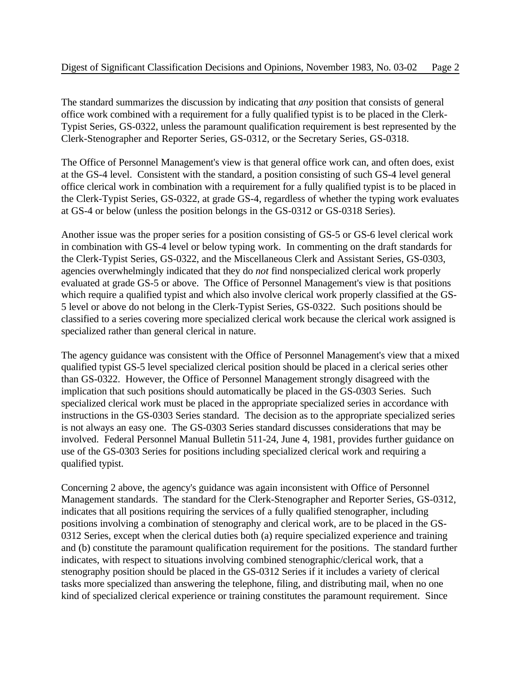The standard summarizes the discussion by indicating that *any* position that consists of general office work combined with a requirement for a fully qualified typist is to be placed in the Clerk-Typist Series, GS-0322, unless the paramount qualification requirement is best represented by the Clerk-Stenographer and Reporter Series, GS-0312, or the Secretary Series, GS-0318.

The Office of Personnel Management's view is that general office work can, and often does, exist at the GS-4 level. Consistent with the standard, a position consisting of such GS-4 level general office clerical work in combination with a requirement for a fully qualified typist is to be placed in the Clerk-Typist Series, GS-0322, at grade GS-4, regardless of whether the typing work evaluates at GS-4 or below (unless the position belongs in the GS-0312 or GS-0318 Series).

Another issue was the proper series for a position consisting of GS-5 or GS-6 level clerical work in combination with GS-4 level or below typing work. In commenting on the draft standards for the Clerk-Typist Series, GS-0322, and the Miscellaneous Clerk and Assistant Series, GS-0303, agencies overwhelmingly indicated that they do *not* find nonspecialized clerical work properly evaluated at grade GS-5 or above. The Office of Personnel Management's view is that positions which require a qualified typist and which also involve clerical work properly classified at the GS-5 level or above do not belong in the Clerk-Typist Series, GS-0322. Such positions should be classified to a series covering more specialized clerical work because the clerical work assigned is specialized rather than general clerical in nature.

The agency guidance was consistent with the Office of Personnel Management's view that a mixed qualified typist GS-5 level specialized clerical position should be placed in a clerical series other than GS-0322. However, the Office of Personnel Management strongly disagreed with the implication that such positions should automatically be placed in the GS-0303 Series. Such specialized clerical work must be placed in the appropriate specialized series in accordance with instructions in the GS-0303 Series standard. The decision as to the appropriate specialized series is not always an easy one. The GS-0303 Series standard discusses considerations that may be involved. Federal Personnel Manual Bulletin 511-24, June 4, 1981, provides further guidance on use of the GS-0303 Series for positions including specialized clerical work and requiring a qualified typist.

Concerning 2 above, the agency's guidance was again inconsistent with Office of Personnel Management standards. The standard for the Clerk-Stenographer and Reporter Series, GS-0312, indicates that all positions requiring the services of a fully qualified stenographer, including positions involving a combination of stenography and clerical work, are to be placed in the GS-0312 Series, except when the clerical duties both (a) require specialized experience and training and (b) constitute the paramount qualification requirement for the positions. The standard further indicates, with respect to situations involving combined stenographic/clerical work, that a stenography position should be placed in the GS-0312 Series if it includes a variety of clerical tasks more specialized than answering the telephone, filing, and distributing mail, when no one kind of specialized clerical experience or training constitutes the paramount requirement. Since